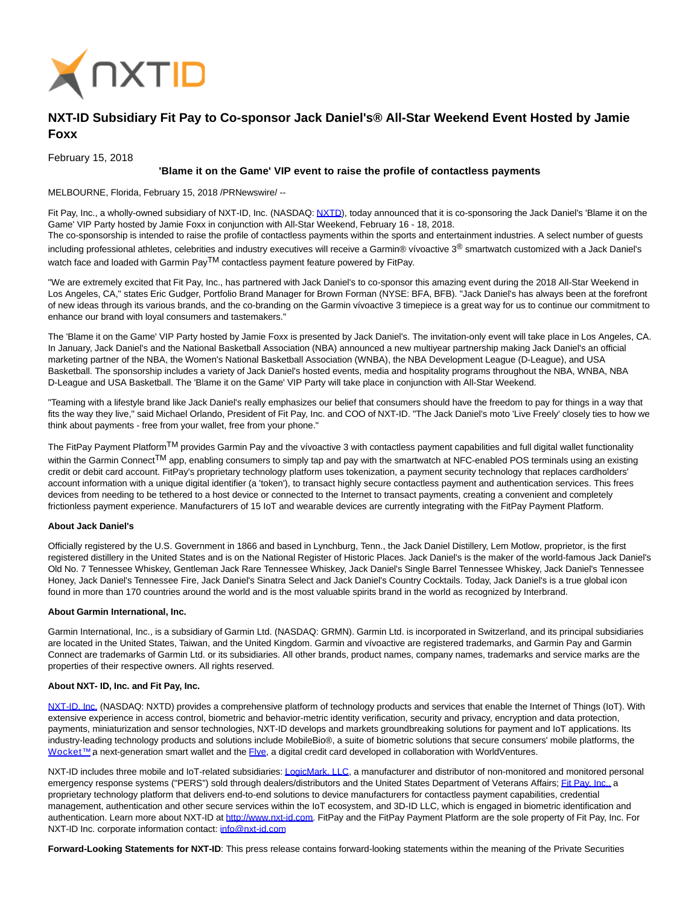

# **NXT-ID Subsidiary Fit Pay to Co-sponsor Jack Daniel's® All-Star Weekend Event Hosted by Jamie Foxx**

February 15, 2018

# **'Blame it on the Game' VIP event to raise the profile of contactless payments**

MELBOURNE, Florida, February 15, 2018 /PRNewswire/ --

Fit Pay, Inc., a wholly-owned subsidiary of NXT-ID, Inc. (NASDAQ[: NXTD\),](https://finance.yahoo.com/q?s=nxtd) today announced that it is co-sponsoring the Jack Daniel's 'Blame it on the Game' VIP Party hosted by Jamie Foxx in conjunction with All-Star Weekend, February 16 - 18, 2018.

The co-sponsorship is intended to raise the profile of contactless payments within the sports and entertainment industries. A select number of guests including professional athletes, celebrities and industry executives will receive a Garmin® vívoactive 3<sup>®</sup> smartwatch customized with a Jack Daniel's watch face and loaded with Garmin Pay<sup>TM</sup> contactless payment feature powered by FitPay.

"We are extremely excited that Fit Pay, Inc., has partnered with Jack Daniel's to co-sponsor this amazing event during the 2018 All-Star Weekend in Los Angeles, CA," states Eric Gudger, Portfolio Brand Manager for Brown Forman (NYSE: BFA, BFB). "Jack Daniel's has always been at the forefront of new ideas through its various brands, and the co-branding on the Garmin vívoactive 3 timepiece is a great way for us to continue our commitment to enhance our brand with loyal consumers and tastemakers."

The 'Blame it on the Game' VIP Party hosted by Jamie Foxx is presented by Jack Daniel's. The invitation-only event will take place in Los Angeles, CA. In January, Jack Daniel's and the National Basketball Association (NBA) announced a new multiyear partnership making Jack Daniel's an official marketing partner of the NBA, the Women's National Basketball Association (WNBA), the NBA Development League (D-League), and USA Basketball. The sponsorship includes a variety of Jack Daniel's hosted events, media and hospitality programs throughout the NBA, WNBA, NBA D-League and USA Basketball. The 'Blame it on the Game' VIP Party will take place in conjunction with All-Star Weekend.

"Teaming with a lifestyle brand like Jack Daniel's really emphasizes our belief that consumers should have the freedom to pay for things in a way that fits the way they live," said Michael Orlando, President of Fit Pay, Inc. and COO of NXT-ID. "The Jack Daniel's moto 'Live Freely' closely ties to how we think about payments - free from your wallet, free from your phone."

The FitPay Payment Platform<sup>TM</sup> provides Garmin Pay and the vívoactive 3 with contactless payment capabilities and full digital wallet functionality within the Garmin Connect<sup>TM</sup> app, enabling consumers to simply tap and pay with the smartwatch at NFC-enabled POS terminals using an existing credit or debit card account. FitPay's proprietary technology platform uses tokenization, a payment security technology that replaces cardholders' account information with a unique digital identifier (a 'token'), to transact highly secure contactless payment and authentication services. This frees devices from needing to be tethered to a host device or connected to the Internet to transact payments, creating a convenient and completely frictionless payment experience. Manufacturers of 15 IoT and wearable devices are currently integrating with the FitPay Payment Platform.

# **About Jack Daniel's**

Officially registered by the U.S. Government in 1866 and based in Lynchburg, Tenn., the Jack Daniel Distillery, Lem Motlow, proprietor, is the first registered distillery in the United States and is on the National Register of Historic Places. Jack Daniel's is the maker of the world-famous Jack Daniel's Old No. 7 Tennessee Whiskey, Gentleman Jack Rare Tennessee Whiskey, Jack Daniel's Single Barrel Tennessee Whiskey, Jack Daniel's Tennessee Honey, Jack Daniel's Tennessee Fire, Jack Daniel's Sinatra Select and Jack Daniel's Country Cocktails. Today, Jack Daniel's is a true global icon found in more than 170 countries around the world and is the most valuable spirits brand in the world as recognized by Interbrand.

#### **About Garmin International, Inc.**

Garmin International, Inc., is a subsidiary of Garmin Ltd. (NASDAQ: GRMN). Garmin Ltd. is incorporated in Switzerland, and its principal subsidiaries are located in the United States, Taiwan, and the United Kingdom. Garmin and vívoactive are registered trademarks, and Garmin Pay and Garmin Connect are trademarks of Garmin Ltd. or its subsidiaries. All other brands, product names, company names, trademarks and service marks are the properties of their respective owners. All rights reserved.

## **About NXT- ID, Inc. and Fit Pay, Inc.**

[NXT-ID, Inc. \(](http://www.nxt-id.com/)NASDAQ: NXTD) provides a comprehensive platform of technology products and services that enable the Internet of Things (IoT). With extensive experience in access control, biometric and behavior-metric identity verification, security and privacy, encryption and data protection, payments, miniaturization and sensor technologies, NXT-ID develops and markets groundbreaking solutions for payment and IoT applications. Its industry-leading technology products and solutions include MobileBio®, a suite of biometric solutions that secure consumers' mobile platforms, the Wocket™ a next-generation smart wallet and the [Flye,](https://www.flye.com/) a digital credit card developed in collaboration with WorldVentures.

NXT-ID includes three mobile and IoT-related subsidiaries[: LogicMark, LLC,](https://www.logicmark.com/) a manufacturer and distributor of non-monitored and monitored personal emergency response systems ("PERS") sold through dealers/distributors and the United States Department of Veterans Affairs; *Eit Pay, Inc.*, a proprietary technology platform that delivers end-to-end solutions to device manufacturers for contactless payment capabilities, credential management, authentication and other secure services within the IoT ecosystem, and 3D-ID LLC, which is engaged in biometric identification and authentication. Learn more about NXT-ID at [http://www.nxt-id.com.](http://www.nxt-id.com/) FitPay and the FitPay Payment Platform are the sole property of Fit Pay, Inc. For NXT-ID Inc. corporate information contact: [info@nxt-id.com](mailto:info@nxt-id.com)

**Forward-Looking Statements for NXT-ID**: This press release contains forward-looking statements within the meaning of the Private Securities